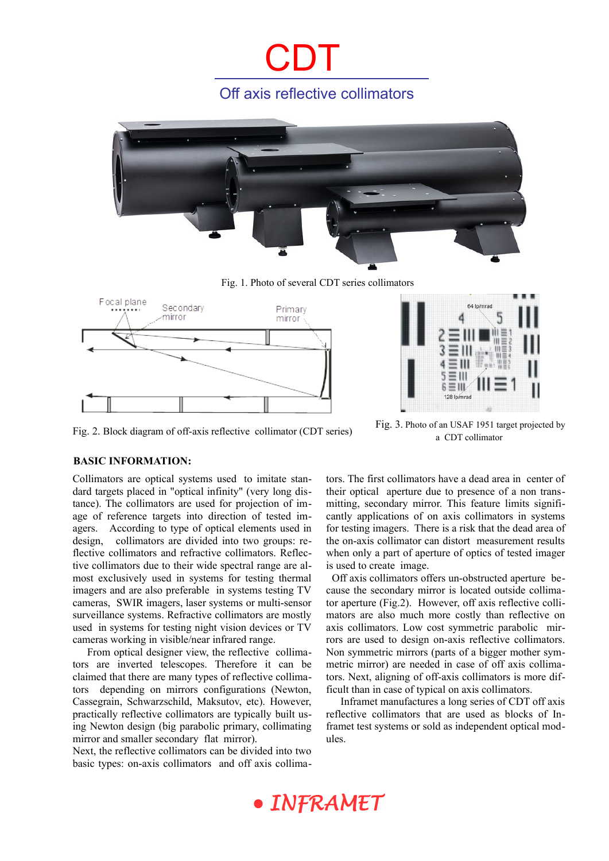## Off axis reflective collimators

CDT



Fig. 1. Photo of several CDT series collimators





Fig. 2. Block diagram of off-axis reflective collimator (CDT series) Fig. 3. Photo of an USAF 1951 target projected by a CDT collimator

#### **BASIC INFORMATION:**

Collimators are optical systems used to imitate standard targets placed in "optical infinity" (very long distance). The collimators are used for projection of image of reference targets into direction of tested imagers. According to type of optical elements used in design, collimators are divided into two groups: reflective collimators and refractive collimators. Reflective collimators due to their wide spectral range are almost exclusively used in systems for testing thermal imagers and are also preferable in systems testing TV cameras, SWIR imagers, laser systems or multi-sensor surveillance systems. Refractive collimators are mostly used in systems for testing night vision devices or TV cameras working in visible/near infrared range.

From optical designer view, the reflective collimators are inverted telescopes. Therefore it can be claimed that there are many types of reflective collimators depending on mirrors configurations (Newton, Cassegrain, Schwarzschild, Maksutov, etc). However, practically reflective collimators are typically built using Newton design (big parabolic primary, collimating mirror and smaller secondary flat mirror).

Next, the reflective collimators can be divided into two basic types: on-axis collimators and off axis collima-

tors. The first collimators have a dead area in center of their optical aperture due to presence of a non transmitting, secondary mirror. This feature limits significantly applications of on axis collimators in systems for testing imagers. There is a risk that the dead area of the on-axis collimator can distort measurement results when only a part of aperture of optics of tested imager is used to create image.

 Off axis collimators offers un-obstructed aperture because the secondary mirror is located outside collimator aperture (Fig.2). However, off axis reflective collimators are also much more costly than reflective on axis collimators. Low cost symmetric parabolic mirrors are used to design on-axis reflective collimators. Non symmetric mirrors (parts of a bigger mother symmetric mirror) are needed in case of off axis collimators. Next, aligning of off-axis collimators is more difficult than in case of typical on axis collimators.

Inframet manufactures a long series of CDT off axis reflective collimators that are used as blocks of Inframet test systems or sold as independent optical modules.

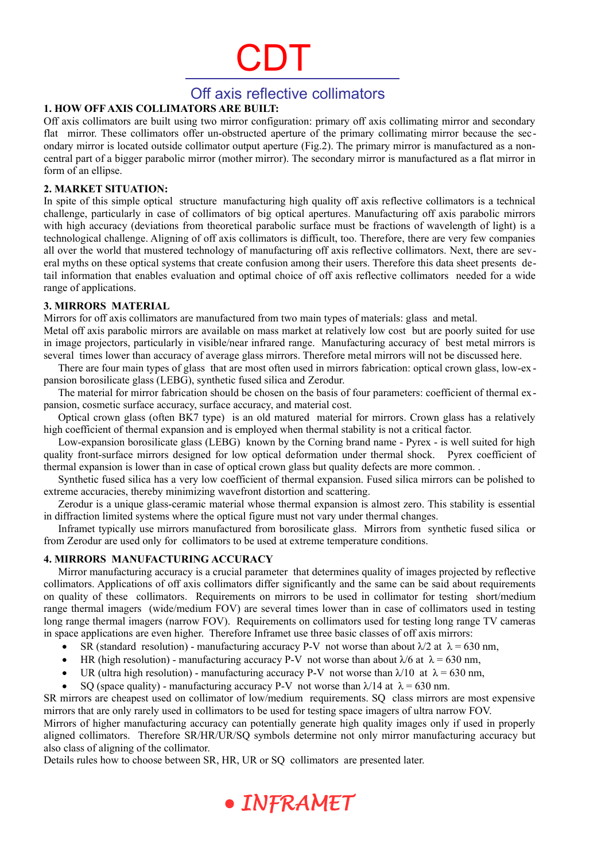### Off axis reflective collimators

#### **1. HOW OFF AXIS COLLIMATORS ARE BUILT:**

Off axis collimators are built using two mirror configuration: primary off axis collimating mirror and secondary flat mirror. These collimators offer un-obstructed aperture of the primary collimating mirror because the secondary mirror is located outside collimator output aperture (Fig.2). The primary mirror is manufactured as a noncentral part of a bigger parabolic mirror (mother mirror). The secondary mirror is manufactured as a flat mirror in form of an ellipse.

#### **2. MARKET SITUATION:**

In spite of this simple optical structure manufacturing high quality off axis reflective collimators is a technical challenge, particularly in case of collimators of big optical apertures. Manufacturing off axis parabolic mirrors with high accuracy (deviations from theoretical parabolic surface must be fractions of wavelength of light) is a technological challenge. Aligning of off axis collimators is difficult, too. Therefore, there are very few companies all over the world that mustered technology of manufacturing off axis reflective collimators. Next, there are several myths on these optical systems that create confusion among their users. Therefore this data sheet presents detail information that enables evaluation and optimal choice of off axis reflective collimators needed for a wide range of applications.

#### **3. MIRRORS MATERIAL**

Mirrors for off axis collimators are manufactured from two main types of materials: glass and metal.

Metal off axis parabolic mirrors are available on mass market at relatively low cost but are poorly suited for use in image projectors, particularly in visible/near infrared range. Manufacturing accuracy of best metal mirrors is several times lower than accuracy of average glass mirrors. Therefore metal mirrors will not be discussed here.

There are four main types of glass that are most often used in mirrors fabrication: optical crown glass, low-ex pansion borosilicate glass (LEBG), synthetic fused silica and Zerodur.

The material for mirror fabrication should be chosen on the basis of four parameters: coefficient of thermal expansion, cosmetic surface accuracy, surface accuracy, and material cost.

Optical crown glass (often BK7 type) is an old matured material for mirrors. Crown glass has a relatively high coefficient of thermal expansion and is employed when thermal stability is not a critical factor.

Low-expansion borosilicate glass (LEBG) known by the Corning brand name - Pyrex - is well suited for high quality front-surface mirrors designed for low optical deformation under thermal shock. Pyrex coefficient of thermal expansion is lower than in case of optical crown glass but quality defects are more common. .

Synthetic fused silica has a very low coefficient of thermal expansion. Fused silica mirrors can be polished to extreme accuracies, thereby minimizing wavefront distortion and scattering.

Zerodur is a unique glass-ceramic material whose thermal expansion is almost zero. This stability is essential in diffraction limited systems where the optical figure must not vary under thermal changes.

Inframet typically use mirrors manufactured from borosilicate glass. Mirrors from synthetic fused silica or from Zerodur are used only for collimators to be used at extreme temperature conditions.

#### **4. MIRRORS MANUFACTURING ACCURACY**

Mirror manufacturing accuracy is a crucial parameter that determines quality of images projected by reflective collimators. Applications of off axis collimators differ significantly and the same can be said about requirements on quality of these collimators. Requirements on mirrors to be used in collimator for testing short/medium range thermal imagers (wide/medium FOV) are several times lower than in case of collimators used in testing long range thermal imagers (narrow FOV). Requirements on collimators used for testing long range TV cameras in space applications are even higher. Therefore Inframet use three basic classes of off axis mirrors:

- SR (standard resolution) manufacturing accuracy P-V not worse than about  $\lambda/2$  at  $\lambda = 630$  nm,
- HR (high resolution) manufacturing accuracy P-V not worse than about  $\lambda/6$  at  $\lambda = 630$  nm,
- UR (ultra high resolution) manufacturing accuracy P-V not worse than  $\lambda/10$  at  $\lambda = 630$  nm,
- SQ (space quality) manufacturing accuracy P-V not worse than  $\lambda$ 14 at  $\lambda$  = 630 nm.

SR mirrors are cheapest used on collimator of low/medium requirements. SQ class mirrors are most expensive mirrors that are only rarely used in collimators to be used for testing space imagers of ultra narrow FOV.

Mirrors of higher manufacturing accuracy can potentially generate high quality images only if used in properly aligned collimators. Therefore SR/HR/UR/SQ symbols determine not only mirror manufacturing accuracy but also class of aligning of the collimator.

Details rules how to choose between SR, HR, UR or SQ collimators are presented later.

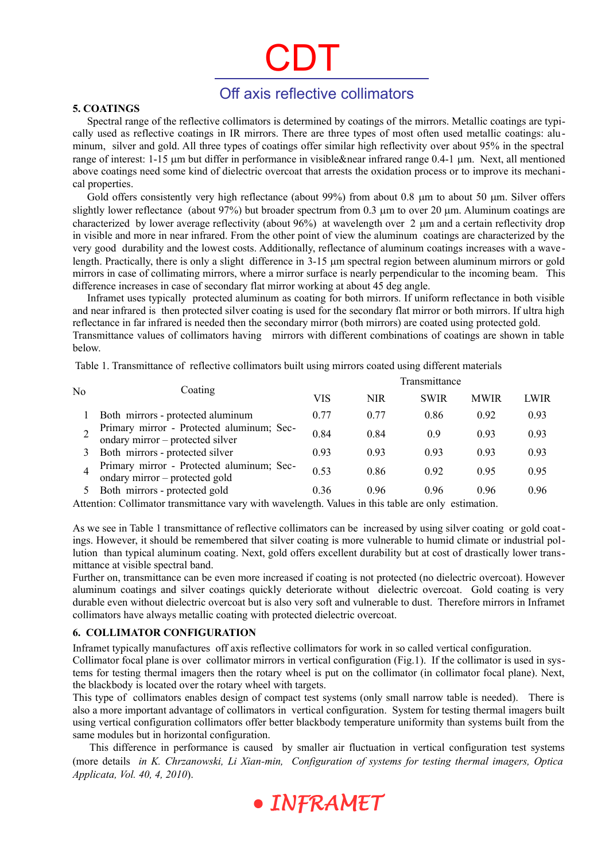### Off axis reflective collimators

#### **5. COATINGS**

Spectral range of the reflective collimators is determined by coatings of the mirrors. Metallic coatings are typically used as reflective coatings in IR mirrors. There are three types of most often used metallic coatings: aluminum, silver and gold. All three types of coatings offer similar high reflectivity over about 95% in the spectral range of interest: 1-15 µm but differ in performance in visible&near infrared range 0.4-1 µm. Next, all mentioned above coatings need some kind of dielectric overcoat that arrests the oxidation process or to improve its mechanical properties.

Gold offers consistently very high reflectance (about 99%) from about 0.8  $\mu$ m to about 50  $\mu$ m. Silver offers slightly lower reflectance (about  $97\%$ ) but broader spectrum from 0.3  $\mu$ m to over 20  $\mu$ m. Aluminum coatings are characterized by lower average reflectivity (about  $96\%$ ) at wavelength over 2 um and a certain reflectivity drop in visible and more in near infrared. From the other point of view the aluminum coatings are characterized by the very good durability and the lowest costs. Additionally, reflectance of aluminum coatings increases with a wave length. Practically, there is only a slight difference in  $3-15$  µm spectral region between aluminum mirrors or gold mirrors in case of collimating mirrors, where a mirror surface is nearly perpendicular to the incoming beam. This difference increases in case of secondary flat mirror working at about 45 deg angle.

Inframet uses typically protected aluminum as coating for both mirrors. If uniform reflectance in both visible and near infrared is then protected silver coating is used for the secondary flat mirror or both mirrors. If ultra high reflectance in far infrared is needed then the secondary mirror (both mirrors) are coated using protected gold. Transmittance values of collimators having mirrors with different combinations of coatings are shown in table below.

Table 1. Transmittance of reflective collimators built using mirrors coated using different materials

|    | Coating                                                                       | Transmittance |            |             |             |      |
|----|-------------------------------------------------------------------------------|---------------|------------|-------------|-------------|------|
| No |                                                                               | VIS           | <b>NIR</b> | <b>SWIR</b> | <b>MWIR</b> | LWIR |
|    | Both mirrors - protected aluminum                                             | 0.77          | 0.77       | 0.86        | 0.92        | 0.93 |
|    | Primary mirror - Protected aluminum; Sec-<br>ondary mirror – protected silver | 0.84          | 0.84       | 0.9         | 0.93        | 0.93 |
|    | Both mirrors - protected silver                                               | 0.93          | 0.93       | 0.93        | 0.93        | 0.93 |
|    | Primary mirror - Protected aluminum; Sec-<br>ondary mirror - protected gold   | 0.53          | 0.86       | 0.92        | 0.95        | 0.95 |
|    | Both mirrors - protected gold                                                 | 0.36          | 0.96       | 0.96        | 0.96        | 0.96 |

Attention: Collimator transmittance vary with wavelength. Values in this table are only estimation.

As we see in Table 1 transmittance of reflective collimators can be increased by using silver coating or gold coatings. However, it should be remembered that silver coating is more vulnerable to humid climate or industrial pollution than typical aluminum coating. Next, gold offers excellent durability but at cost of drastically lower transmittance at visible spectral band.

Further on, transmittance can be even more increased if coating is not protected (no dielectric overcoat). However aluminum coatings and silver coatings quickly deteriorate without dielectric overcoat. Gold coating is very durable even without dielectric overcoat but is also very soft and vulnerable to dust. Therefore mirrors in Inframet collimators have always metallic coating with protected dielectric overcoat.

#### **6. COLLIMATOR CONFIGURATION**

Inframet typically manufactures off axis reflective collimators for work in so called vertical configuration.

Collimator focal plane is over collimator mirrors in vertical configuration (Fig.1). If the collimator is used in systems for testing thermal imagers then the rotary wheel is put on the collimator (in collimator focal plane). Next, the blackbody is located over the rotary wheel with targets.

This type of collimators enables design of compact test systems (only small narrow table is needed). There is also a more important advantage of collimators in vertical configuration. System for testing thermal imagers built using vertical configuration collimators offer better blackbody temperature uniformity than systems built from the same modules but in horizontal configuration.

This difference in performance is caused by smaller air fluctuation in vertical configuration test systems (more details *in K. Chrzanowski, Li Xian-min, Configuration of systems for testing thermal imagers, Optica Applicata, Vol. 40, 4, 2010*).

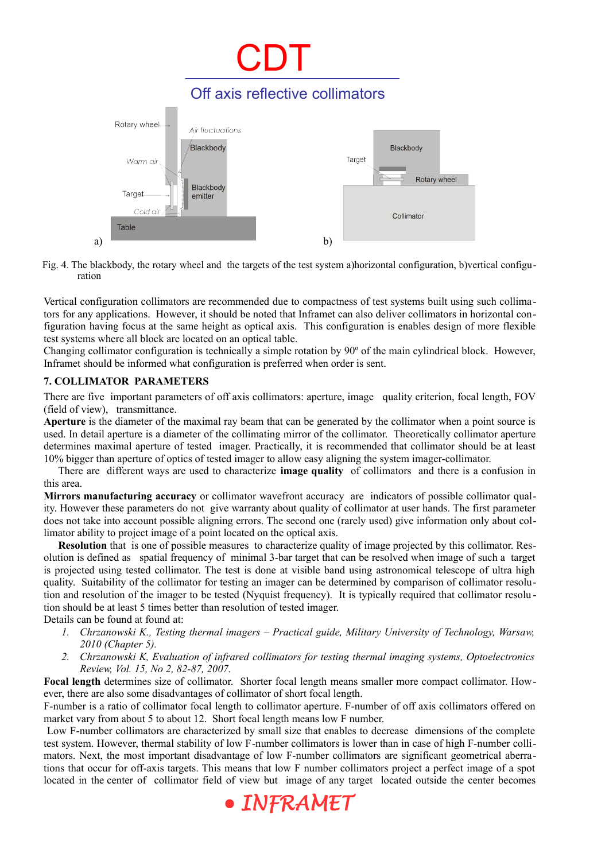

Fig. 4. The blackbody, the rotary wheel and the targets of the test system a)horizontal configuration, b)vertical configuration

Vertical configuration collimators are recommended due to compactness of test systems built using such collimators for any applications. However, it should be noted that Inframet can also deliver collimators in horizontal configuration having focus at the same height as optical axis. This configuration is enables design of more flexible test systems where all block are located on an optical table.

Changing collimator configuration is technically a simple rotation by 90º of the main cylindrical block. However, Inframet should be informed what configuration is preferred when order is sent.

#### **7. COLLIMATOR PARAMETERS**

There are five important parameters of off axis collimators: aperture, image quality criterion, focal length, FOV (field of view), transmittance.

**Aperture** is the diameter of the maximal ray beam that can be generated by the collimator when a point source is used. In detail aperture is a diameter of the collimating mirror of the collimator. Theoretically collimator aperture determines maximal aperture of tested imager. Practically, it is recommended that collimator should be at least 10% bigger than aperture of optics of tested imager to allow easy aligning the system imager-collimator.

There are different ways are used to characterize **image quality** of collimators and there is a confusion in this area.

**Mirrors manufacturing accuracy** or collimator wavefront accuracy are indicators of possible collimator quality. However these parameters do not give warranty about quality of collimator at user hands. The first parameter does not take into account possible aligning errors. The second one (rarely used) give information only about collimator ability to project image of a point located on the optical axis.

**Resolution** that is one of possible measures to characterize quality of image projected by this collimator. Resolution is defined as spatial frequency of minimal 3-bar target that can be resolved when image of such a target is projected using tested collimator. The test is done at visible band using astronomical telescope of ultra high quality. Suitability of the collimator for testing an imager can be determined by comparison of collimator resolution and resolution of the imager to be tested (Nyquist frequency). It is typically required that collimator resolu tion should be at least 5 times better than resolution of tested imager.

Details can be found at found at:

- *1. Chrzanowski K., Testing thermal imagers Practical guide, Military University of Technology, Warsaw, 2010 (Chapter 5).*
- *2. Chrzanowski K, Evaluation of infrared collimators for testing thermal imaging systems, Optoelectronics Review, Vol. 15, No 2, 82-87, 2007.*

**Focal length** determines size of collimator. Shorter focal length means smaller more compact collimator. However, there are also some disadvantages of collimator of short focal length.

F-number is a ratio of collimator focal length to collimator aperture. F-number of off axis collimators offered on market vary from about 5 to about 12. Short focal length means low F number.

 Low F-number collimators are characterized by small size that enables to decrease dimensions of the complete test system. However, thermal stability of low F-number collimators is lower than in case of high F-number collimators. Next, the most important disadvantage of low F-number collimators are significant geometrical aberrations that occur for off-axis targets. This means that low F number collimators project a perfect image of a spot located in the center of collimator field of view but image of any target located outside the center becomes

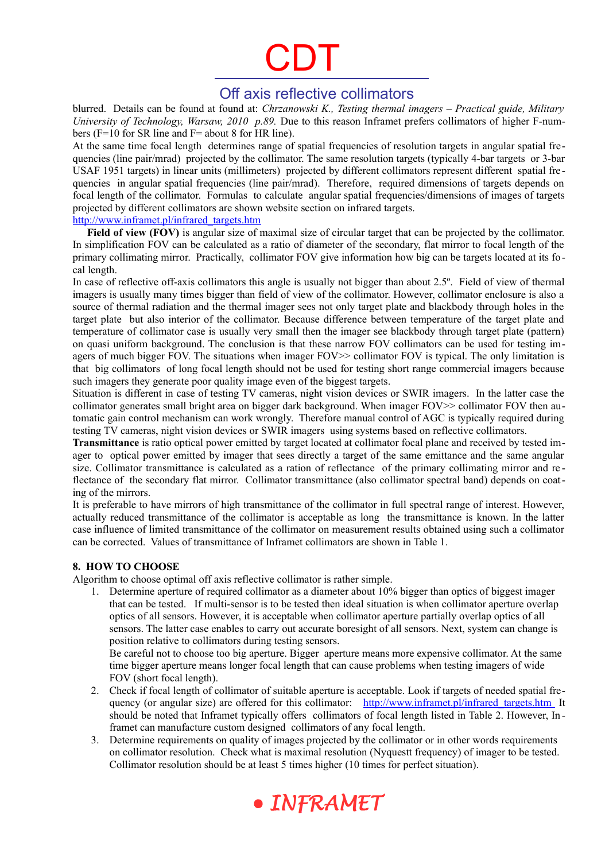### Off axis reflective collimators

blurred. Details can be found at found at: *Chrzanowski K., Testing thermal imagers – Practical guide, Military University of Technology, Warsaw, 2010 p.89.* Due to this reason Inframet prefers collimators of higher F-numbers (F=10 for SR line and F= about 8 for HR line).

At the same time focal length determines range of spatial frequencies of resolution targets in angular spatial frequencies (line pair/mrad) projected by the collimator. The same resolution targets (typically 4-bar targets or 3-bar USAF 1951 targets) in linear units (millimeters) projected by different collimators represent different spatial fre quencies in angular spatial frequencies (line pair/mrad). Therefore, required dimensions of targets depends on focal length of the collimator. Formulas to calculate angular spatial frequencies/dimensions of images of targets projected by different collimators are shown website section on infrared targets. [http://www.inframet.pl/infrared\\_targets.htm](http://www.inframet.pl/infrared_targets.htm)

**Field of view (FOV)** is angular size of maximal size of circular target that can be projected by the collimator. In simplification FOV can be calculated as a ratio of diameter of the secondary, flat mirror to focal length of the primary collimating mirror. Practically, collimator FOV give information how big can be targets located at its focal length.

In case of reflective off-axis collimators this angle is usually not bigger than about 2.5º. Field of view of thermal imagers is usually many times bigger than field of view of the collimator. However, collimator enclosure is also a source of thermal radiation and the thermal imager sees not only target plate and blackbody through holes in the target plate but also interior of the collimator. Because difference between temperature of the target plate and temperature of collimator case is usually very small then the imager see blackbody through target plate (pattern) on quasi uniform background. The conclusion is that these narrow FOV collimators can be used for testing imagers of much bigger FOV. The situations when imager FOV>> collimator FOV is typical. The only limitation is that big collimators of long focal length should not be used for testing short range commercial imagers because such imagers they generate poor quality image even of the biggest targets.

Situation is different in case of testing TV cameras, night vision devices or SWIR imagers. In the latter case the collimator generates small bright area on bigger dark background. When imager FOV>> collimator FOV then automatic gain control mechanism can work wrongly. Therefore manual control of AGC is typically required during testing TV cameras, night vision devices or SWIR imagers using systems based on reflective collimators.

**Transmittance** is ratio optical power emitted by target located at collimator focal plane and received by tested imager to optical power emitted by imager that sees directly a target of the same emittance and the same angular size. Collimator transmittance is calculated as a ration of reflectance of the primary collimating mirror and re flectance of the secondary flat mirror. Collimator transmittance (also collimator spectral band) depends on coating of the mirrors.

It is preferable to have mirrors of high transmittance of the collimator in full spectral range of interest. However, actually reduced transmittance of the collimator is acceptable as long the transmittance is known. In the latter case influence of limited transmittance of the collimator on measurement results obtained using such a collimator can be corrected. Values of transmittance of Inframet collimators are shown in Table 1.

#### **8. HOW TO CHOOSE**

Algorithm to choose optimal off axis reflective collimator is rather simple.

1. Determine aperture of required collimator as a diameter about 10% bigger than optics of biggest imager that can be tested. If multi-sensor is to be tested then ideal situation is when collimator aperture overlap optics of all sensors. However, it is acceptable when collimator aperture partially overlap optics of all sensors. The latter case enables to carry out accurate boresight of all sensors. Next, system can change is position relative to collimators during testing sensors.

Be careful not to choose too big aperture. Bigger aperture means more expensive collimator. At the same time bigger aperture means longer focal length that can cause problems when testing imagers of wide FOV (short focal length).

- 2. Check if focal length of collimator of suitable aperture is acceptable. Look if targets of needed spatial frequency (or angular size) are offered for this collimator: [http://www.inframet.pl/infrared\\_targets.htm](http://www.inframet.pl/infrared_targets.htm) It should be noted that Inframet typically offers collimators of focal length listed in Table 2. However, In framet can manufacture custom designed collimators of any focal length.
- 3. Determine requirements on quality of images projected by the collimator or in other words requirements on collimator resolution. Check what is maximal resolution (Nyquestt frequency) of imager to be tested. Collimator resolution should be at least 5 times higher (10 times for perfect situation).

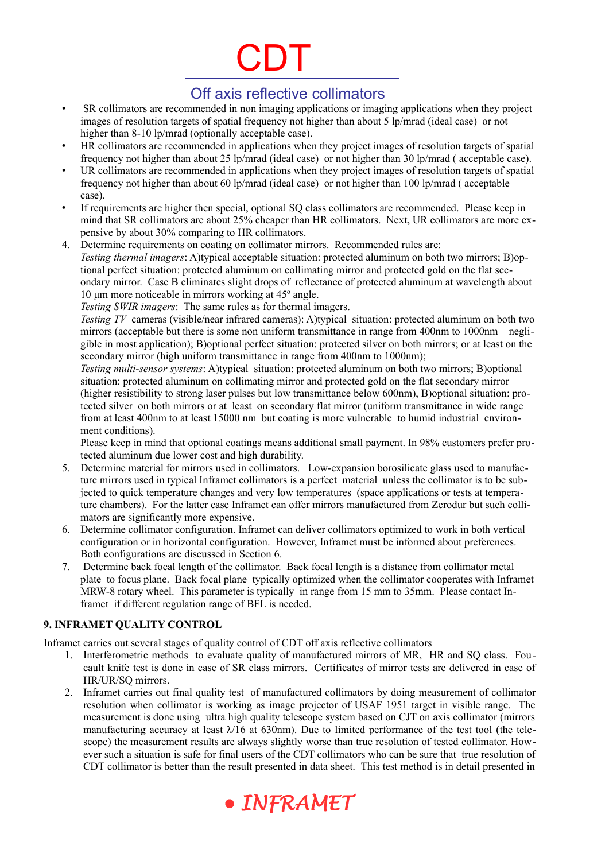## Off axis reflective collimators

- SR collimators are recommended in non imaging applications or imaging applications when they project images of resolution targets of spatial frequency not higher than about 5 lp/mrad (ideal case) or not higher than 8-10 lp/mrad (optionally acceptable case).
- HR collimators are recommended in applications when they project images of resolution targets of spatial frequency not higher than about 25 lp/mrad (ideal case) or not higher than 30 lp/mrad ( acceptable case).
- UR collimators are recommended in applications when they project images of resolution targets of spatial frequency not higher than about 60 lp/mrad (ideal case) or not higher than 100 lp/mrad ( acceptable case).
- If requirements are higher then special, optional SQ class collimators are recommended. Please keep in mind that SR collimators are about 25% cheaper than HR collimators. Next, UR collimators are more expensive by about 30% comparing to HR collimators.
- 4. Determine requirements on coating on collimator mirrors. Recommended rules are: *Testing thermal imagers*: A)typical acceptable situation: protected aluminum on both two mirrors; B)optional perfect situation: protected aluminum on collimating mirror and protected gold on the flat secondary mirror. Case B eliminates slight drops of reflectance of protected aluminum at wavelength about 10 μm more noticeable in mirrors working at 45º angle.

*Testing SWIR imagers*: The same rules as for thermal imagers.

*Testing TV* cameras (visible/near infrared cameras): A)typical situation: protected aluminum on both two mirrors (acceptable but there is some non uniform transmittance in range from 400nm to 1000nm – negligible in most application); B)optional perfect situation: protected silver on both mirrors; or at least on the secondary mirror (high uniform transmittance in range from 400nm to 1000nm);

*Testing multi-sensor systems*: A)typical situation: protected aluminum on both two mirrors; B)optional situation: protected aluminum on collimating mirror and protected gold on the flat secondary mirror (higher resistibility to strong laser pulses but low transmittance below 600nm), B)optional situation: protected silver on both mirrors or at least on secondary flat mirror (uniform transmittance in wide range from at least 400nm to at least 15000 nm but coating is more vulnerable to humid industrial environment conditions).

Please keep in mind that optional coatings means additional small payment. In 98% customers prefer protected aluminum due lower cost and high durability.

- 5. Determine material for mirrors used in collimators. Low-expansion borosilicate glass used to manufacture mirrors used in typical Inframet collimators is a perfect material unless the collimator is to be subjected to quick temperature changes and very low temperatures (space applications or tests at temperature chambers). For the latter case Inframet can offer mirrors manufactured from Zerodur but such collimators are significantly more expensive.
- 6. Determine collimator configuration. Inframet can deliver collimators optimized to work in both vertical configuration or in horizontal configuration. However, Inframet must be informed about preferences. Both configurations are discussed in Section 6.
- 7. Determine back focal length of the collimator. Back focal length is a distance from collimator metal plate to focus plane. Back focal plane typically optimized when the collimator cooperates with Inframet MRW-8 rotary wheel. This parameter is typically in range from 15 mm to 35mm. Please contact Inframet if different regulation range of BFL is needed.

#### **9. INFRAMET QUALITY CONTROL**

Inframet carries out several stages of quality control of CDT off axis reflective collimators

- 1. Interferometric methods to evaluate quality of manufactured mirrors of MR, HR and SQ class. Foucault knife test is done in case of SR class mirrors. Certificates of mirror tests are delivered in case of HR/UR/SQ mirrors.
- 2. Inframet carries out final quality test of manufactured collimators by doing measurement of collimator resolution when collimator is working as image projector of USAF 1951 target in visible range. The measurement is done using ultra high quality telescope system based on CJT on axis collimator (mirrors manufacturing accuracy at least  $\lambda$ 16 at 630nm). Due to limited performance of the test tool (the telescope) the measurement results are always slightly worse than true resolution of tested collimator. However such a situation is safe for final users of the CDT collimators who can be sure that true resolution of CDT collimator is better than the result presented in data sheet. This test method is in detail presented in

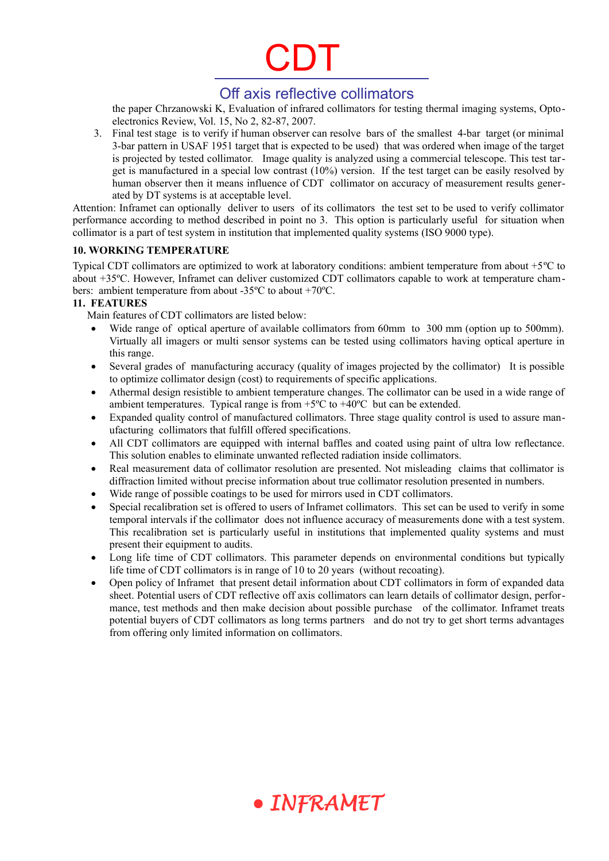## Off axis reflective collimators

the paper Chrzanowski K, Evaluation of infrared collimators for testing thermal imaging systems, Optoelectronics Review, Vol. 15, No 2, 82-87, 2007.

3. Final test stage is to verify if human observer can resolve bars of the smallest 4-bar target (or minimal 3-bar pattern in USAF 1951 target that is expected to be used) that was ordered when image of the target is projected by tested collimator. Image quality is analyzed using a commercial telescope. This test target is manufactured in a special low contrast (10%) version. If the test target can be easily resolved by human observer then it means influence of CDT collimator on accuracy of measurement results generated by DT systems is at acceptable level.

Attention: Inframet can optionally deliver to users of its collimators the test set to be used to verify collimator performance according to method described in point no 3. This option is particularly useful for situation when collimator is a part of test system in institution that implemented quality systems (ISO 9000 type).

#### **10. WORKING TEMPERATURE**

Typical CDT collimators are optimized to work at laboratory conditions: ambient temperature from about +5ºC to about +35ºC. However, Inframet can deliver customized CDT collimators capable to work at temperature chambers: ambient temperature from about -35ºC to about +70ºC.

#### **11. FEATURES**

Main features of CDT collimators are listed below:

- Wide range of optical aperture of available collimators from 60mm to 300 mm (option up to 500mm). Virtually all imagers or multi sensor systems can be tested using collimators having optical aperture in this range.
- Several grades of manufacturing accuracy (quality of images projected by the collimator) It is possible to optimize collimator design (cost) to requirements of specific applications.
- Athermal design resistible to ambient temperature changes. The collimator can be used in a wide range of ambient temperatures. Typical range is from  $+5^{\circ}$ C to  $+40^{\circ}$ C but can be extended.
- Expanded quality control of manufactured collimators. Three stage quality control is used to assure manufacturing collimators that fulfill offered specifications.
- All CDT collimators are equipped with internal baffles and coated using paint of ultra low reflectance. This solution enables to eliminate unwanted reflected radiation inside collimators.
- Real measurement data of collimator resolution are presented. Not misleading claims that collimator is diffraction limited without precise information about true collimator resolution presented in numbers.
- Wide range of possible coatings to be used for mirrors used in CDT collimators.
- Special recalibration set is offered to users of Inframet collimators. This set can be used to verify in some temporal intervals if the collimator does not influence accuracy of measurements done with a test system. This recalibration set is particularly useful in institutions that implemented quality systems and must present their equipment to audits.
- Long life time of CDT collimators. This parameter depends on environmental conditions but typically life time of CDT collimators is in range of 10 to 20 years (without recoating).
- Open policy of Inframet that present detail information about CDT collimators in form of expanded data sheet. Potential users of CDT reflective off axis collimators can learn details of collimator design, performance, test methods and then make decision about possible purchase of the collimator. Inframet treats potential buyers of CDT collimators as long terms partners and do not try to get short terms advantages from offering only limited information on collimators.

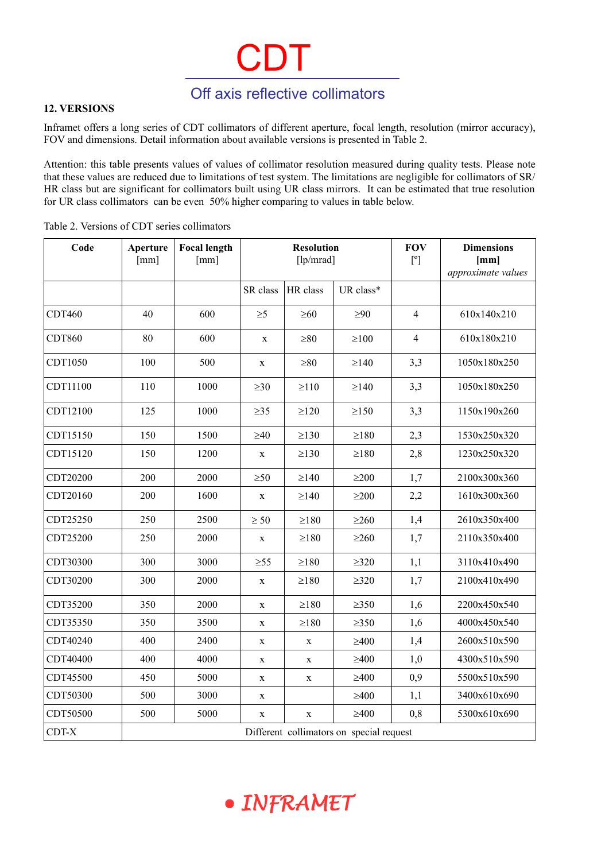## Off axis reflective collimators

 $C\mathcal{D}$ 

#### **12. VERSIONS**

Inframet offers a long series of CDT collimators of different aperture, focal length, resolution (mirror accuracy), FOV and dimensions. Detail information about available versions is presented in Table 2.

Attention: this table presents values of values of collimator resolution measured during quality tests. Please note that these values are reduced due to limitations of test system. The limitations are negligible for collimators of SR/ HR class but are significant for collimators built using UR class mirrors. It can be estimated that true resolution for UR class collimators can be even 50% higher comparing to values in table below.

| Code                                              | Aperture<br>[mm] | <b>Focal length</b><br>[mm] | <b>Resolution</b><br>[lp/mrad] |             |            | <b>FOV</b><br>$[^{\circ}]$ | <b>Dimensions</b><br>[mm]<br>approximate values |  |
|---------------------------------------------------|------------------|-----------------------------|--------------------------------|-------------|------------|----------------------------|-------------------------------------------------|--|
|                                                   |                  |                             | SR class                       | HR class    | UR class*  |                            |                                                 |  |
| CDT460                                            | 40               | 600                         | $\geq 5$                       | $\geq 60$   | $\geq 90$  | $\overline{4}$             | 610x140x210                                     |  |
| CDT860                                            | 80               | 600                         | $\mathbf X$                    | $\geq 80$   | $\geq 100$ | $\overline{4}$             | 610x180x210                                     |  |
| CDT1050                                           | 100              | 500                         | $\mathbf X$                    | $\geq 80$   | $\geq$ 140 | 3,3                        | 1050x180x250                                    |  |
| CDT11100                                          | 110              | 1000                        | $\geq 30$                      | $\geq$ 110  | $\geq$ 140 | 3,3                        | 1050x180x250                                    |  |
| CDT12100                                          | 125              | 1000                        | $\geq$ 35                      | $\geq$ 120  | $\geq$ 150 | 3,3                        | 1150x190x260                                    |  |
| CDT15150                                          | 150              | 1500                        | $\geq 40$                      | $\geq$ 130  | $\geq$ 180 | 2,3                        | 1530x250x320                                    |  |
| CDT15120                                          | 150              | 1200                        | $\mathbf X$                    | $\geq$ 130  | $\geq$ 180 | 2,8                        | 1230x250x320                                    |  |
| CDT20200                                          | 200              | 2000                        | $\geq 50$                      | $\geq$ 140  | $\geq$ 200 | 1,7                        | 2100x300x360                                    |  |
| CDT20160                                          | 200              | 1600                        | $\mathbf X$                    | $\geq$ 140  | $\geq$ 200 | 2,2                        | 1610x300x360                                    |  |
| CDT25250                                          | 250              | 2500                        | $\geq 50$                      | $\geq$ 180  | $\geq$ 260 | 1,4                        | 2610x350x400                                    |  |
| CDT25200                                          | 250              | 2000                        | $\mathbf X$                    | $\geq$ 180  | $\geq$ 260 | 1,7                        | 2110x350x400                                    |  |
| CDT30300                                          | 300              | 3000                        | $\geq 55$                      | $\geq$ 180  | $\geq 320$ | 1,1                        | 3110x410x490                                    |  |
| CDT30200                                          | 300              | 2000                        | $\mathbf X$                    | $\geq$ 180  | $\geq 320$ | 1,7                        | 2100x410x490                                    |  |
| CDT35200                                          | 350              | 2000                        | $\mathbf X$                    | $\geq$ 180  | $\geq$ 350 | 1,6                        | 2200x450x540                                    |  |
| CDT35350                                          | 350              | 3500                        | $\mathbf X$                    | $\geq$ 180  | $\geq$ 350 | 1,6                        | 4000x450x540                                    |  |
| CDT40240                                          | 400              | 2400                        | $\mathbf X$                    | $\mathbf X$ | $\geq 400$ | 1,4                        | 2600x510x590                                    |  |
| CDT40400                                          | 400              | 4000                        | $\mathbf X$                    | $\mathbf X$ | $\geq 400$ | 1,0                        | 4300x510x590                                    |  |
| CDT45500                                          | 450              | 5000                        | $\mathbf X$                    | X           | $\geq 400$ | 0,9                        | 5500x510x590                                    |  |
| CDT50300                                          | 500              | 3000                        | $\mathbf X$                    |             | $\geq 400$ | 1,1                        | 3400x610x690                                    |  |
| CDT50500                                          | 500              | 5000                        | $\mathbf X$                    | $\mathbf X$ | $\geq 400$ | 0,8                        | 5300x610x690                                    |  |
| CDT-X<br>Different collimators on special request |                  |                             |                                |             |            |                            |                                                 |  |

Table 2. Versions of CDT series collimators